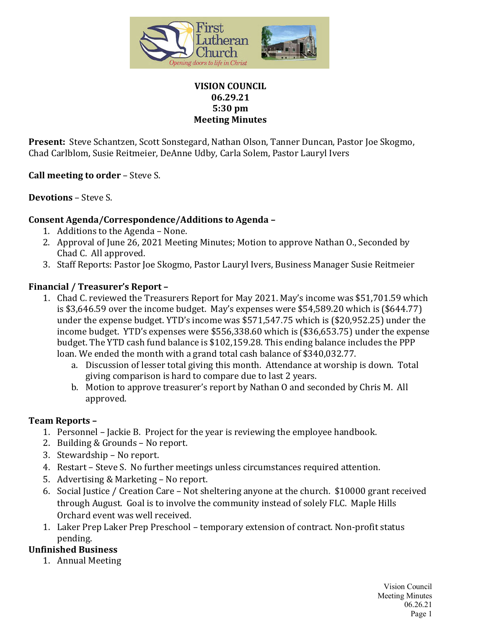

#### **VISION COUNCIL 06.29.21 5:30 pm Meeting Minutes**

**Present:** Steve Schantzen, Scott Sonstegard, Nathan Olson, Tanner Duncan, Pastor Joe Skogmo, Chad Carlblom, Susie Reitmeier, DeAnne Udby, Carla Solem, Pastor Lauryl Ivers

**Call meeting to order** – Steve S.

**Devotions** – Steve S.

### **Consent Agenda/Correspondence/Additions to Agenda –**

- 1. Additions to the Agenda None.
- 2. Approval of June 26, 2021 Meeting Minutes; Motion to approve Nathan O., Seconded by Chad C. All approved.
- 3. Staff Reports: Pastor Joe Skogmo, Pastor Lauryl Ivers, Business Manager Susie Reitmeier

### **Financial / Treasurer's Report –**

- 1. Chad C. reviewed the Treasurers Report for May 2021. May's income was \$51,701.59 which is \$3,646.59 over the income budget. May's expenses were \$54,589.20 which is (\$644.77) under the expense budget. YTD's income was \$571,547.75 which is (\$20,952.25) under the income budget. YTD's expenses were \$556,338.60 which is (\$36,653.75) under the expense budget. The YTD cash fund balance is \$102,159.28. This ending balance includes the PPP loan. We ended the month with a grand total cash balance of \$340,032.77.
	- a. Discussion of lesser total giving this month. Attendance at worship is down. Total giving comparison is hard to compare due to last 2 years.
	- b. Motion to approve treasurer's report by Nathan O and seconded by Chris M. All approved.

### **Team Reports –**

- 1. Personnel Jackie B. Project for the year is reviewing the employee handbook.
- 2. Building & Grounds No report.
- 3. Stewardship No report.
- 4. Restart Steve S. No further meetings unless circumstances required attention.
- 5. Advertising & Marketing No report.
- 6. Social Justice / Creation Care Not sheltering anyone at the church. \$10000 grant received through August. Goal is to involve the community instead of solely FLC. Maple Hills Orchard event was well received.
- 1. Laker Prep Laker Prep Preschool temporary extension of contract. Non-profit status pending.

# **Unfinished Business**

1. Annual Meeting